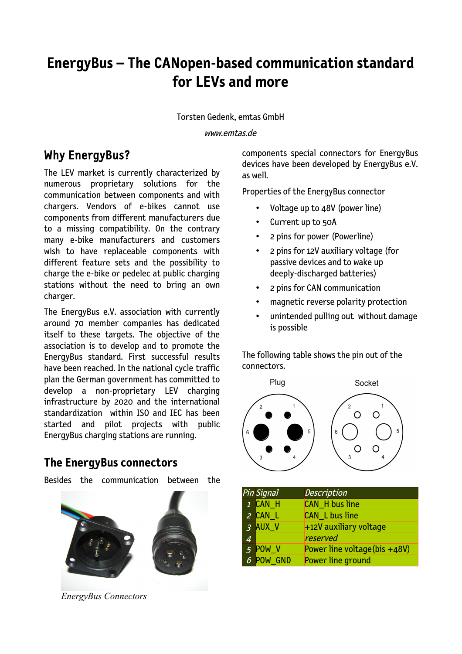# **EnergyBus – The CANopen-based communication standard for LEVs and more**

Torsten Gedenk, emtas GmbH

www.emtas.de

## Why EnergyBus?

The LEV market is currently characterized by numerous proprietary solutions for the communication between components and with chargers. Vendors of e-bikes cannot use components from different manufacturers due to a missing compatibility. On the contrary many e-bike manufacturers and customers wish to have replaceable components with different feature sets and the possibility to charge the e-bike or pedelec at public charging stations without the need to bring an own charger.

The EnergyBus e.V. association with currently around 70 member companies has dedicated itself to these targets. The objective of the association is to develop and to promote the EnergyBus standard. First successful results have been reached. In the national cycle traffic plan the German government has committed to develop a non-proprietary LEV charging infrastructure by 2020 and the international standardization within ISO and IEC has been started and pilot projects with public EnergyBus charging stations are running.

#### **The EnergyBus connectors**

Besides the communication between the



*EnergyBus Connectors*

components special connectors for EnergyBus devices have been developed by EnergyBus e.V. as well.

Properties of the EnergyBus connector

- Voltage up to 48V (power line)
- Current up to 50A
- 2 pins for power (Powerline)
- 2 pins for 12V auxiliary voltage (for passive devices and to wake up deeply-discharged batteries)
- 2 pins for CAN communication
- magnetic reverse polarity protection
- unintended pulling out without damage is possible

The following table shows the pin out of the connectors.



|                | Pin Signal | <b>Description</b>            |
|----------------|------------|-------------------------------|
|                | 1 CAN H    | <b>CAN_H</b> bus line         |
|                | 2 CAN_L    | <b>CAN_L bus line</b>         |
|                | 3 AUX_V    | +12V auxiliary voltage        |
| $\overline{4}$ |            | reserved                      |
|                | 5 POW_V    | Power line voltage (bis +48V) |
|                | 6 POW GND  | Power line ground             |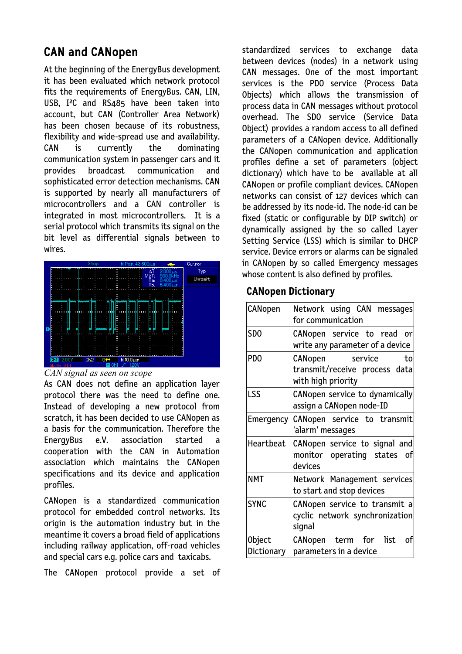## CAN and CANopen

At the beginning of the EnergyBus development it has been evaluated which network protocol fits the requirements of EnergyBus. CAN, LIN, USB, I²C and RS485 have been taken into account, but CAN (Controller Area Network) has been chosen because of its robustness, flexibility and wide-spread use and availability. CAN is currently the dominating communication system in passenger cars and it provides broadcast communication and sophisticated error detection mechanisms. CAN is supported by nearly all manufacturers of microcontrollers and a CAN controller is integrated in most microcontrollers. It is a serial protocol which transmits its signal on the bit level as differential signals between to wires.



#### *CAN signal as seen on scope*

As CAN does not define an application layer protocol there was the need to define one. Instead of developing a new protocol from scratch, it has been decided to use CANopen as a basis for the communication. Therefore the EnergyBus e.V. association started a cooperation with the CAN in Automation association which maintains the CANopen specifications and its device and application profiles.

CANopen is a standardized communication protocol for embedded control networks. Its origin is the automation industry but in the meantime it covers a broad field of applications including railway application, off-road vehicles and special cars e.g. police cars and taxicabs.

The CANopen protocol provide a set of

standardized services to exchange data between devices (nodes) in a network using CAN messages. One of the most important services is the PDO service (Process Data Objects) which allows the transmission of process data in CAN messages without protocol overhead. The SDO service (Service Data Object) provides a random access to all defined parameters of a CANopen device. Additionally the CANopen communication and application profiles define a set of parameters (object dictionary) which have to be available at all CANopen or profile compliant devices. CANopen networks can consist of 127 devices which can be addressed by its node-id. The node-id can be fixed (static or configurable by DIP switch) or dynamically assigned by the so called Layer Setting Service (LSS) which is similar to DHCP service. Device errors or alarms can be signaled in CANopen by so called Emergency messages whose content is also defined by profiles.

#### **CANopen Dictionary**

| CANopen                                                                  | Network using CAN messages<br>for communication                                 |  |  |  |  |  |
|--------------------------------------------------------------------------|---------------------------------------------------------------------------------|--|--|--|--|--|
| SD <sub>0</sub>                                                          | CANopen service to read or<br>write any parameter of a device                   |  |  |  |  |  |
| PD <sub>0</sub>                                                          | CANopen<br>service<br>to<br>transmit/receive process data<br>with high priority |  |  |  |  |  |
| <b>LSS</b><br>CANopen service to dynamically<br>assign a CANopen node-ID |                                                                                 |  |  |  |  |  |
| Emergency                                                                | CANopen service to transmit<br>'alarm' messages                                 |  |  |  |  |  |
| Heartbeat                                                                | CANopen service to signal and<br>monitor operating states<br>_of<br>devices     |  |  |  |  |  |
| <b>NMT</b>                                                               | Network Management services<br>to start and stop devices                        |  |  |  |  |  |
| <b>SYNC</b>                                                              | CANopen service to transmit a<br>cyclic network synchronization<br>signal       |  |  |  |  |  |
| Object<br>Dictionary                                                     | list<br>CANopen term for<br>оf<br>parameters in a device                        |  |  |  |  |  |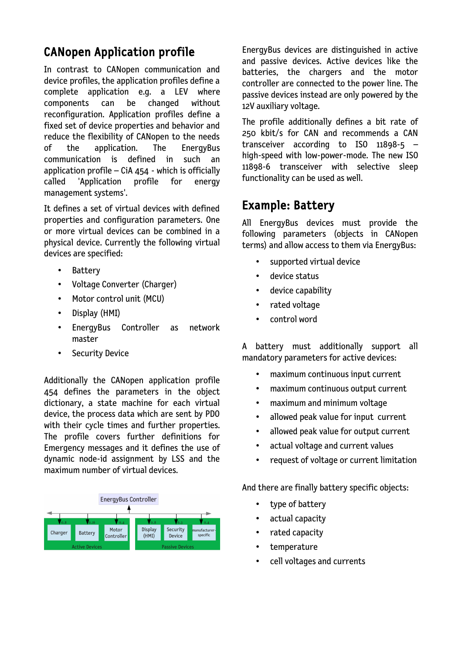## CANopen Application profile

In contrast to CANopen communication and device profiles, the application profiles define a complete application e.g. a LEV where components can be changed without reconfiguration. Application profiles define a fixed set of device properties and behavior and reduce the flexibility of CANopen to the needs of the application. The EnergyBus communication is defined in such an application profile – CiA  $454$  - which is officially called 'Application profile for energy management systems'.

It defines a set of virtual devices with defined properties and configuration parameters. One or more virtual devices can be combined in a physical device. Currently the following virtual devices are specified:

- Battery
- Voltage Converter (Charger)
- Motor control unit (MCU)
- Display (HMI)
- EnergyBus Controller as network master
- Security Device

Additionally the CANopen application profile 454 defines the parameters in the object dictionary, a state machine for each virtual device, the process data which are sent by PDO with their cycle times and further properties. The profile covers further definitions for Emergency messages and it defines the use of dynamic node-id assignment by LSS and the maximum number of virtual devices.



EnergyBus devices are distinguished in active and passive devices. Active devices like the batteries, the chargers and the motor controller are connected to the power line. The passive devices instead are only powered by the 12V auxiliary voltage.

The profile additionally defines a bit rate of 250 kbit/s for CAN and recommends a CAN transceiver according to ISO 11898-5 – high-speed with low-power-mode. The new ISO 11898-6 transceiver with selective sleep functionality can be used as well.

## Example: Battery

All EnergyBus devices must provide the following parameters (objects in CANopen terms) and allow access to them via EnergyBus:

- supported virtual device
- device status
- device capability
- rated voltage
- control word

A battery must additionally support all mandatory parameters for active devices:

- maximum continuous input current
- maximum continuous output current
- maximum and minimum voltage
- allowed peak value for input current
- allowed peak value for output current
- actual voltage and current values
- request of voltage or current limitation

And there are finally battery specific objects:

- type of battery
- actual capacity
- rated capacity
- temperature
- cell voltages and currents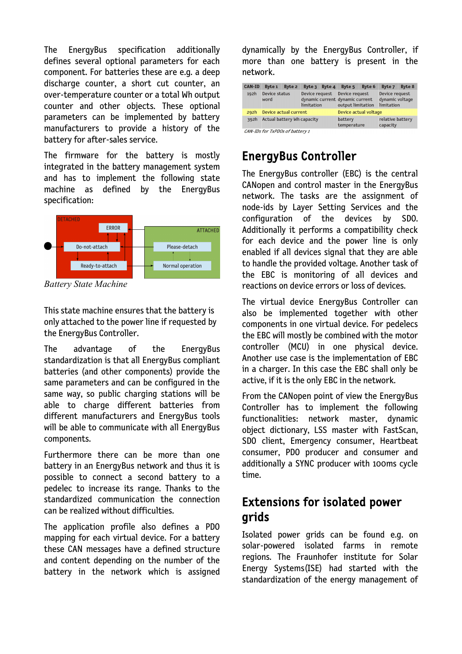The EnergyBus specification additionally defines several optional parameters for each component. For batteries these are e.g. a deep discharge counter, a short cut counter, an over-temperature counter or a total Wh output counter and other objects. These optional parameters can be implemented by battery manufacturers to provide a history of the battery for after-sales service.

The firmware for the battery is mostly integrated in the battery management system and has to implement the following state machine as defined by the EnergyBus specification:



*Battery State Machine*

This state machine ensures that the battery is only attached to the power line if requested by the EnergyBus Controller.

The advantage of the EnergyBus standardization is that all EnergyBus compliant batteries (and other components) provide the same parameters and can be configured in the same way, so public charging stations will be able to charge different batteries from different manufacturers and EnergyBus tools will be able to communicate with all EnergyBus components.

Furthermore there can be more than one battery in an EnergyBus network and thus it is possible to connect a second battery to a pedelec to increase its range. Thanks to the standardized communication the connection can be realized without difficulties.

The application profile also defines a PDO mapping for each virtual device. For a battery these CAN messages have a defined structure and content depending on the number of the battery in the network which is assigned dynamically by the EnergyBus Controller, if more than one battery is present in the network.

| <b>CAN-ID</b>                   | <b>Byte 1</b>              | Byte 2 | Byte 3                                                          | Byte 4                 | Byte 5                              | <b>Byte 6</b>                | Byte 7                                          | Byte 8 |  |  |
|---------------------------------|----------------------------|--------|-----------------------------------------------------------------|------------------------|-------------------------------------|------------------------------|-------------------------------------------------|--------|--|--|
| 192h                            | Device status<br>word      |        | Device request<br>dynamic current dynamic current<br>limitation |                        | Device request<br>output limitation |                              | Device request<br>dynamic voltage<br>limitation |        |  |  |
| 292h                            | Device actual current      |        |                                                                 |                        | Device actual voltage               |                              |                                                 |        |  |  |
| 392h                            | Actual battery Wh capacity |        |                                                                 | battery<br>temperature |                                     | relative battery<br>capacity |                                                 |        |  |  |
| CAN-IDs for TxPDOs of battery 1 |                            |        |                                                                 |                        |                                     |                              |                                                 |        |  |  |

### EnergyBus Controller

The EnergyBus controller (EBC) is the central CANopen and control master in the EnergyBus network. The tasks are the assignment of node-ids by Layer Setting Services and the configuration of the devices by SDO. Additionally it performs a compatibility check for each device and the power line is only enabled if all devices signal that they are able to handle the provided voltage. Another task of the EBC is monitoring of all devices and reactions on device errors or loss of devices.

The virtual device EnergyBus Controller can also be implemented together with other components in one virtual device. For pedelecs the EBC will mostly be combined with the motor controller (MCU) in one physical device. Another use case is the implementation of EBC in a charger. In this case the EBC shall only be active, if it is the only EBC in the network.

From the CANopen point of view the EnergyBus Controller has to implement the following functionalities: network master, dynamic object dictionary, LSS master with FastScan, SDO client, Emergency consumer, Heartbeat consumer, PDO producer and consumer and additionally a SYNC producer with 100ms cycle time.

## Extensions for isolated power grids

Isolated power grids can be found e.g. on solar-powered isolated farms in remote regions. The Fraunhofer institute for Solar Energy Systems(ISE) had started with the standardization of the energy management of